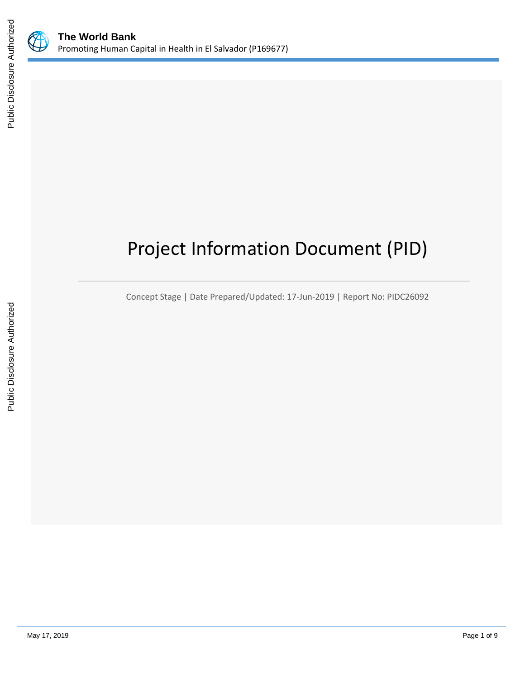

# Project Information Document (PID)

Concept Stage | Date Prepared/Updated: 17-Jun-2019 | Report No: PIDC26092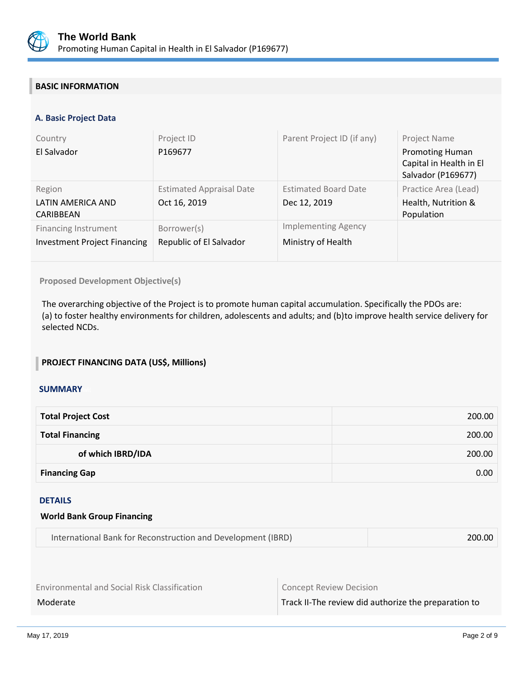

# **BASIC INFORMATION**

#### **A. Basic Project Data**

| Country<br>El Salvador                                             | Project ID<br>P169677                           | Parent Project ID (if any)                       | <b>Project Name</b><br><b>Promoting Human</b><br>Capital in Health in El<br>Salvador (P169677) |
|--------------------------------------------------------------------|-------------------------------------------------|--------------------------------------------------|------------------------------------------------------------------------------------------------|
| Region<br>LATIN AMERICA AND<br>CARIBBEAN                           | <b>Estimated Appraisal Date</b><br>Oct 16, 2019 | <b>Estimated Board Date</b><br>Dec 12, 2019      | Practice Area (Lead)<br>Health, Nutrition &<br>Population                                      |
| <b>Financing Instrument</b><br><b>Investment Project Financing</b> | Borrower(s)<br>Republic of El Salvador          | <b>Implementing Agency</b><br>Ministry of Health |                                                                                                |

**Proposed Development Objective(s)** 

The overarching objective of the Project is to promote human capital accumulation. Specifically the PDOs are: (a) to foster healthy environments for children, adolescents and adults; and (b)to improve health service delivery for selected NCDs.

#### **PROJECT FINANCING DATA (US\$, Millions)**

#### **SUMMARY**

| <b>Total Project Cost</b> | 200.00 |
|---------------------------|--------|
| <b>Total Financing</b>    | 200.00 |
| of which IBRD/IDA         | 200.00 |
| <b>Financing Gap</b>      | 0.00   |

#### DETAILS

| International Bank for Reconstruction and Development (IBRD) | 200.00 |
|--------------------------------------------------------------|--------|
|                                                              |        |

Environmental and Social Risk Classification **Concept Review Decision** 

**World Bank Group Financing**

Moderate Moderate Track II-The review did authorize the preparation to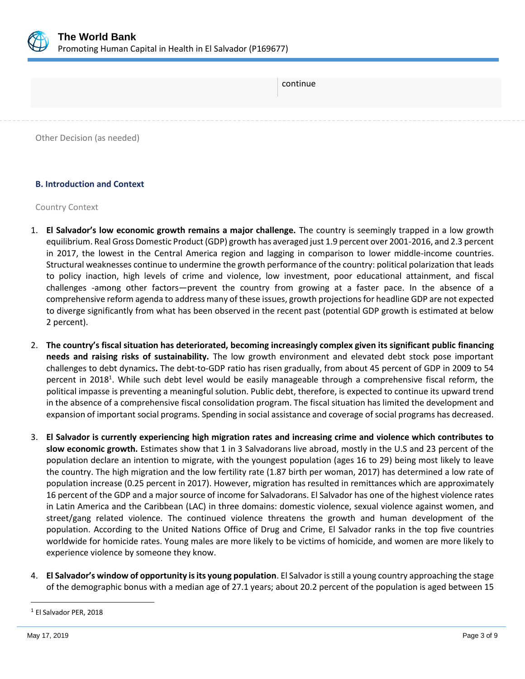

| continue                   |  |
|----------------------------|--|
|                            |  |
| Other Decision (as needed) |  |

# **B. Introduction and Context**

# Country Context

- 1. **El Salvador's low economic growth remains a major challenge.** The country is seemingly trapped in a low growth equilibrium. Real Gross Domestic Product (GDP) growth has averaged just 1.9 percent over 2001-2016, and 2.3 percent in 2017, the lowest in the Central America region and lagging in comparison to lower middle-income countries. Structural weaknesses continue to undermine the growth performance of the country: political polarization that leads to policy inaction, high levels of crime and violence, low investment, poor educational attainment, and fiscal challenges -among other factors—prevent the country from growing at a faster pace. In the absence of a comprehensive reform agenda to address many of these issues, growth projections for headline GDP are not expected to diverge significantly from what has been observed in the recent past (potential GDP growth is estimated at below 2 percent).
- 2. **The country's fiscal situation has deteriorated, becoming increasingly complex given its significant public financing needs and raising risks of sustainability.** The low growth environment and elevated debt stock pose important challenges to debt dynamics**.** The debt-to-GDP ratio has risen gradually, from about 45 percent of GDP in 2009 to 54 percent in 2018<sup>1</sup>. While such debt level would be easily manageable through a comprehensive fiscal reform, the political impasse is preventing a meaningful solution. Public debt, therefore, is expected to continue its upward trend in the absence of a comprehensive fiscal consolidation program. The fiscal situation has limited the development and expansion of important social programs. Spending in social assistance and coverage of social programs has decreased.
- 3. **El Salvador is currently experiencing high migration rates and increasing crime and violence which contributes to slow economic growth.** Estimates show that 1 in 3 Salvadorans live abroad, mostly in the U.S and 23 percent of the population declare an intention to migrate, with the youngest population (ages 16 to 29) being most likely to leave the country. The high migration and the low fertility rate (1.87 birth per woman, 2017) has determined a low rate of population increase (0.25 percent in 2017). However, migration has resulted in remittances which are approximately 16 percent of the GDP and a major source of income for Salvadorans. El Salvador has one of the highest violence rates in Latin America and the Caribbean (LAC) in three domains: domestic violence, sexual violence against women, and street/gang related violence. The continued violence threatens the growth and human development of the population. According to the United Nations Office of Drug and Crime, El Salvador ranks in the top five countries worldwide for homicide rates. Young males are more likely to be victims of homicide, and women are more likely to experience violence by someone they know.
- 4. **El Salvador's window of opportunity is its young population**. El Salvador is still a young country approaching the stage of the demographic bonus with a median age of 27.1 years; about 20.2 percent of the population is aged between 15

<sup>1</sup> El Salvador PER, 2018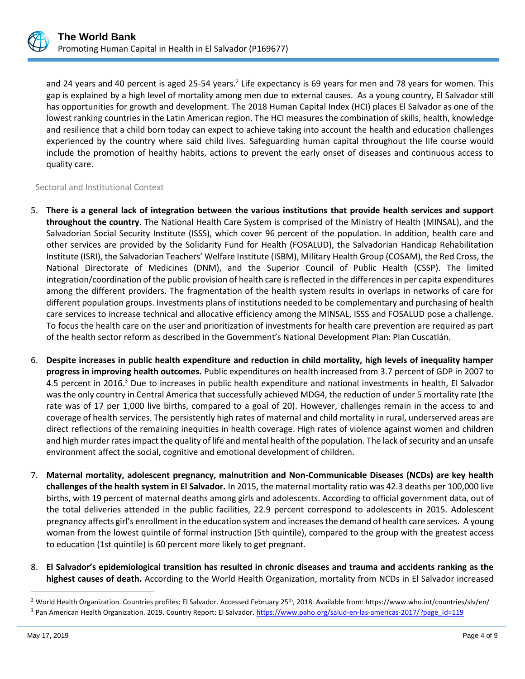

and 24 years and 40 percent is aged 25-54 years.<sup>2</sup> Life expectancy is 69 years for men and 78 years for women. This gap is explained by a high level of mortality among men due to external causes. As a young country, El Salvador still has opportunities for growth and development. The 2018 Human Capital Index (HCI) places El Salvador as one of the lowest ranking countries in the Latin American region. The HCI measures the combination of skills, health, knowledge and resilience that a child born today can expect to achieve taking into account the health and education challenges experienced by the country where said child lives. Safeguarding human capital throughout the life course would include the promotion of healthy habits, actions to prevent the early onset of diseases and continuous access to quality care.

#### Sectoral and Institutional Context

- 5. **There is a general lack of integration between the various institutions that provide health services and support throughout the country**. The National Health Care System is comprised of the Ministry of Health (MINSAL), and the Salvadorian Social Security Institute (ISSS), which cover 96 percent of the population. In addition, health care and other services are provided by the Solidarity Fund for Health (FOSALUD), the Salvadorian Handicap Rehabilitation Institute (ISRI), the Salvadorian Teachers' Welfare Institute (ISBM), Military Health Group (COSAM), the Red Cross, the National Directorate of Medicines (DNM), and the Superior Council of Public Health (CSSP). The limited integration/coordination of the public provision of health care is reflected in the differences in per capita expenditures among the different providers. The fragmentation of the health system results in overlaps in networks of care for different population groups. Investments plans of institutions needed to be complementary and purchasing of health care services to increase technical and allocative efficiency among the MINSAL, ISSS and FOSALUD pose a challenge. To focus the health care on the user and prioritization of investments for health care prevention are required as part of the health sector reform as described in the Government's National Development Plan: Plan Cuscatlán.
- 6. **Despite increases in public health expenditure and reduction in child mortality, high levels of inequality hamper progress in improving health outcomes.** Public expenditures on health increased from 3.7 percent of GDP in 2007 to 4.5 percent in 2016.<sup>3</sup> Due to increases in public health expenditure and national investments in health, El Salvador was the only country in Central America that successfully achieved MDG4, the reduction of under 5 mortality rate (the rate was of 17 per 1,000 live births, compared to a goal of 20). However, challenges remain in the access to and coverage of health services. The persistently high rates of maternal and child mortality in rural, underserved areas are direct reflections of the remaining inequities in health coverage. High rates of violence against women and children and high murder rates impact the quality of life and mental health of the population. The lack of security and an unsafe environment affect the social, cognitive and emotional development of children.
- 7. **Maternal mortality, adolescent pregnancy, malnutrition and Non-Communicable Diseases (NCDs) are key health challenges of the health system in El Salvador.** In 2015, the maternal mortality ratio was 42.3 deaths per 100,000 live births, with 19 percent of maternal deaths among girls and adolescents. According to official government data, out of the total deliveries attended in the public facilities, 22.9 percent correspond to adolescents in 2015. Adolescent pregnancy affects girl's enrollment in the education system and increases the demand of health care services. A young woman from the lowest quintile of formal instruction (5th quintile), compared to the group with the greatest access to education (1st quintile) is 60 percent more likely to get pregnant.
- 8. **El Salvador's epidemiological transition has resulted in chronic diseases and trauma and accidents ranking as the highest causes of death.** According to the World Health Organization, mortality from NCDs in El Salvador increased

<sup>&</sup>lt;sup>2</sup> World Health Organization. Countries profiles: El Salvador. Accessed February 25<sup>th</sup>, 2018. Available from: https://www.who.int/countries/slv/en/

<sup>3</sup> Pan American Health Organization. 2019. Country Report: El Salvador. [https://www.paho.org/salud-en-las-americas-2017/?page\\_id=119](https://www.paho.org/salud-en-las-americas-2017/?page_id=119)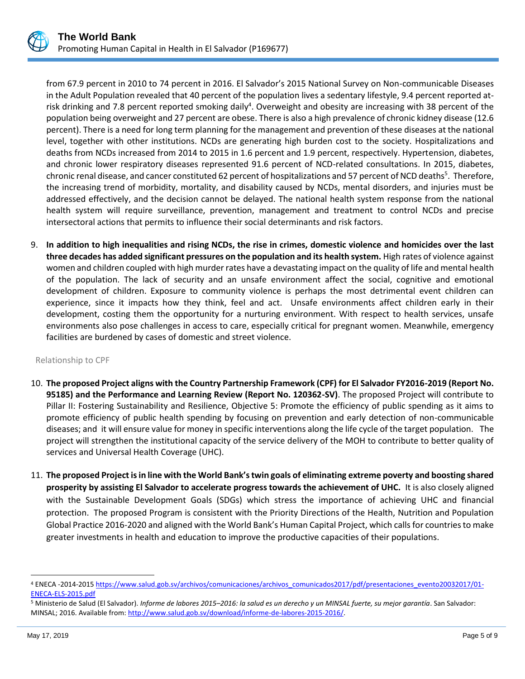

from 67.9 percent in 2010 to 74 percent in 2016. El Salvador's 2015 National Survey on Non-communicable Diseases in the Adult Population revealed that 40 percent of the population lives a sedentary lifestyle, 9.4 percent reported atrisk drinking and 7.8 percent reported smoking daily<sup>4</sup>. Overweight and obesity are increasing with 38 percent of the population being overweight and 27 percent are obese. There is also a high prevalence of chronic kidney disease (12.6 percent). There is a need for long term planning for the management and prevention of these diseases at the national level, together with other institutions. NCDs are generating high burden cost to the society. Hospitalizations and deaths from NCDs increased from 2014 to 2015 in 1.6 percent and 1.9 percent, respectively. Hypertension, diabetes, and chronic lower respiratory diseases represented 91.6 percent of NCD-related consultations. In 2015, diabetes, chronic renal disease, and cancer constituted 62 percent of hospitalizations and 57 percent of NCD deaths<sup>5</sup>. Therefore, the increasing trend of morbidity, mortality, and disability caused by NCDs, mental disorders, and injuries must be addressed effectively, and the decision cannot be delayed. The national health system response from the national health system will require surveillance, prevention, management and treatment to control NCDs and precise intersectoral actions that permits to influence their social determinants and risk factors.

9. **In addition to high inequalities and rising NCDs, the rise in crimes, domestic violence and homicides over the last three decades has added significant pressures on the population and its health system.** High rates of violence against women and children coupled with high murder rates have a devastating impact on the quality of life and mental health of the population. The lack of security and an unsafe environment affect the social, cognitive and emotional development of children. Exposure to community violence is perhaps the most detrimental event children can experience, since it impacts how they think, feel and act. Unsafe environments affect children early in their development, costing them the opportunity for a nurturing environment. With respect to health services, unsafe environments also pose challenges in access to care, especially critical for pregnant women. Meanwhile, emergency facilities are burdened by cases of domestic and street violence.

#### Relationship to CPF

- 10. **The proposed Project aligns with the Country Partnership Framework (CPF) for El Salvador FY2016-2019 (Report No. 95185) and the Performance and Learning Review (Report No. 120362-SV)**. The proposed Project will contribute to Pillar II: Fostering Sustainability and Resilience, Objective 5: Promote the efficiency of public spending as it aims to promote efficiency of public health spending by focusing on prevention and early detection of non-communicable diseases; and it will ensure value for money in specific interventions along the life cycle of the target population. The project will strengthen the institutional capacity of the service delivery of the MOH to contribute to better quality of services and Universal Health Coverage (UHC).
- 11. **The proposed Project is in line with the World Bank's twin goals of eliminating extreme poverty and boosting shared prosperity by assisting El Salvador to accelerate progress towards the achievement of UHC.** It is also closely aligned with the Sustainable Development Goals (SDGs) which stress the importance of achieving UHC and financial protection. The proposed Program is consistent with the Priority Directions of the Health, Nutrition and Population Global Practice 2016-2020 and aligned with the World Bank's Human Capital Project, which calls for countries to make greater investments in health and education to improve the productive capacities of their populations.

<sup>4</sup> ENECA -2014-2015 [https://www.salud.gob.sv/archivos/comunicaciones/archivos\\_comunicados2017/pdf/presentaciones\\_evento20032017/01-](https://www.salud.gob.sv/archivos/comunicaciones/archivos_comunicados2017/pdf/presentaciones_evento20032017/01-ENECA-ELS-2015.pdf) [ENECA-ELS-2015.pdf](https://www.salud.gob.sv/archivos/comunicaciones/archivos_comunicados2017/pdf/presentaciones_evento20032017/01-ENECA-ELS-2015.pdf)

<sup>5</sup> Ministerio de Salud (El Salvador). *Informe de labores 2015–2016: la salud es un derecho y un MINSAL fuerte, su mejor garantía*. San Salvador: MINSAL; 2016. Available from[: http://www.salud.gob.sv/download/informe-de-labores-2015-2016/.](http://www.salud.gob.sv/download/informe-de-labores-2015-2016/)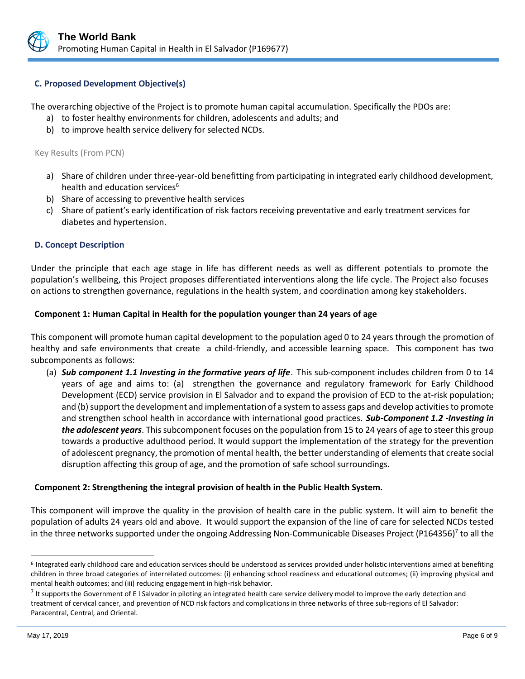

# **C. Proposed Development Objective(s)**

The overarching objective of the Project is to promote human capital accumulation. Specifically the PDOs are:

- a) to foster healthy environments for children, adolescents and adults; and
- b) to improve health service delivery for selected NCDs.

Key Results (From PCN)

- a) Share of children under three-year-old benefitting from participating in integrated early childhood development, health and education services<sup>6</sup>
- b) Share of accessing to preventive health services
- c) Share of patient's early identification of risk factors receiving preventative and early treatment services for diabetes and hypertension.

#### **D. Concept Description**

Under the principle that each age stage in life has different needs as well as different potentials to promote the population's wellbeing, this Project proposes differentiated interventions along the life cycle. The Project also focuses on actions to strengthen governance, regulations in the health system, and coordination among key stakeholders.

#### **Component 1: Human Capital in Health for the population younger than 24 years of age**

This component will promote human capital development to the population aged 0 to 24 years through the promotion of healthy and safe environments that create a child-friendly, and accessible learning space. This component has two subcomponents as follows:

(a) *Sub component 1.1 Investing in the formative years of life*. This sub-component includes children from 0 to 14 years of age and aims to: (a) strengthen the governance and regulatory framework for Early Childhood Development (ECD) service provision in El Salvador and to expand the provision of ECD to the at-risk population; and (b) support the development and implementation of a system to assess gaps and develop activities to promote and strengthen school health in accordance with international good practices. *Sub-Component 1.2 -Investing in the adolescent years*. This subcomponent focuses on the population from 15 to 24 years of age to steer this group towards a productive adulthood period. It would support the implementation of the strategy for the prevention of adolescent pregnancy, the promotion of mental health, the better understanding of elements that create social disruption affecting this group of age, and the promotion of safe school surroundings.

#### **Component 2: Strengthening the integral provision of health in the Public Health System.**

This component will improve the quality in the provision of health care in the public system. It will aim to benefit the population of adults 24 years old and above. It would support the expansion of the line of care for selected NCDs tested in the three networks supported under the ongoing Addressing Non-Communicable Diseases Project (P164356)<sup>7</sup> to all the

<sup>&</sup>lt;sup>6</sup> Integrated early childhood care and education services should be understood as services provided under holistic interventions aimed at benefiting children in three broad categories of interrelated outcomes: (i) enhancing school readiness and educational outcomes; (ii) improving physical and mental health outcomes; and (iii) reducing engagement in high-risk behavior.

 $^7$  It supports the Government of E I Salvador in piloting an integrated health care service delivery model to improve the early detection and treatment of cervical cancer, and prevention of NCD risk factors and complications in three networks of three sub-regions of El Salvador: Paracentral, Central, and Oriental.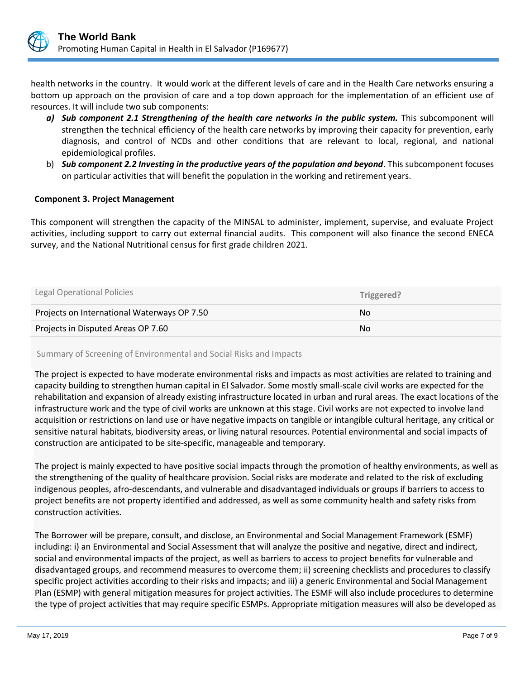

health networks in the country. It would work at the different levels of care and in the Health Care networks ensuring a bottom up approach on the provision of care and a top down approach for the implementation of an efficient use of resources. It will include two sub components:

- *a) Sub component 2.1 Strengthening of the health care networks in the public system.* This subcomponent will strengthen the technical efficiency of the health care networks by improving their capacity for prevention, early diagnosis, and control of NCDs and other conditions that are relevant to local, regional, and national epidemiological profiles.
- b) *Sub component 2.2 Investing in the productive years of the population and beyond*. This subcomponent focuses on particular activities that will benefit the population in the working and retirement years.

#### **Component 3. Project Management**

This component will strengthen the capacity of the MINSAL to administer, implement, supervise, and evaluate Project activities, including support to carry out external financial audits. This component will also finance the second ENECA survey, and the National Nutritional census for first grade children 2021.

| Legal Operational Policies                  | Triggered? |
|---------------------------------------------|------------|
| Projects on International Waterways OP 7.50 | No.        |
| Projects in Disputed Areas OP 7.60          | No         |

#### Summary of Screening of Environmental and Social Risks and Impacts

The project is expected to have moderate environmental risks and impacts as most activities are related to training and capacity building to strengthen human capital in El Salvador. Some mostly small-scale civil works are expected for the rehabilitation and expansion of already existing infrastructure located in urban and rural areas. The exact locations of the infrastructure work and the type of civil works are unknown at this stage. Civil works are not expected to involve land acquisition or restrictions on land use or have negative impacts on tangible or intangible cultural heritage, any critical or sensitive natural habitats, biodiversity areas, or living natural resources. Potential environmental and social impacts of construction are anticipated to be site-specific, manageable and temporary.

The project is mainly expected to have positive social impacts through the promotion of healthy environments, as well as the strengthening of the quality of healthcare provision. Social risks are moderate and related to the risk of excluding indigenous peoples, afro-descendants, and vulnerable and disadvantaged individuals or groups if barriers to access to project benefits are not property identified and addressed, as well as some community health and safety risks from construction activities.

The Borrower will be prepare, consult, and disclose, an Environmental and Social Management Framework (ESMF) including: i) an Environmental and Social Assessment that will analyze the positive and negative, direct and indirect, social and environmental impacts of the project, as well as barriers to access to project benefits for vulnerable and disadvantaged groups, and recommend measures to overcome them; ii) screening checklists and procedures to classify specific project activities according to their risks and impacts; and iii) a generic Environmental and Social Management Plan (ESMP) with general mitigation measures for project activities. The ESMF will also include procedures to determine the type of project activities that may require specific ESMPs. Appropriate mitigation measures will also be developed as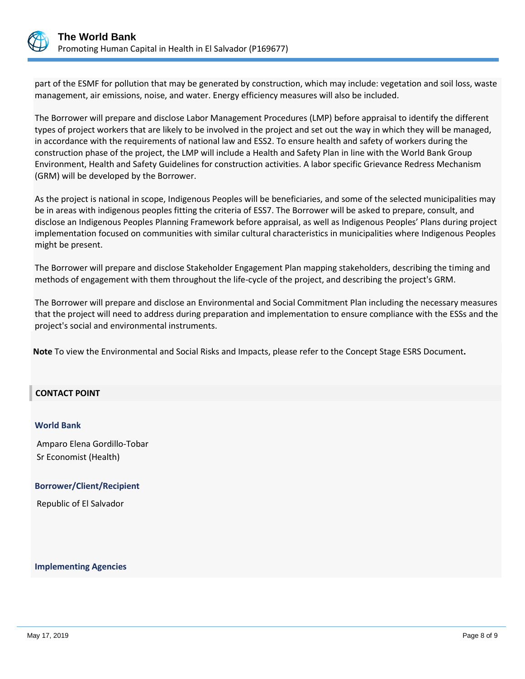

part of the ESMF for pollution that may be generated by construction, which may include: vegetation and soil loss, waste management, air emissions, noise, and water. Energy efficiency measures will also be included.

The Borrower will prepare and disclose Labor Management Procedures (LMP) before appraisal to identify the different types of project workers that are likely to be involved in the project and set out the way in which they will be managed, in accordance with the requirements of national law and ESS2. To ensure health and safety of workers during the construction phase of the project, the LMP will include a Health and Safety Plan in line with the World Bank Group Environment, Health and Safety Guidelines for construction activities. A labor specific Grievance Redress Mechanism (GRM) will be developed by the Borrower.

As the project is national in scope, Indigenous Peoples will be beneficiaries, and some of the selected municipalities may be in areas with indigenous peoples fitting the criteria of ESS7. The Borrower will be asked to prepare, consult, and disclose an Indigenous Peoples Planning Framework before appraisal, as well as Indigenous Peoples' Plans during project implementation focused on communities with similar cultural characteristics in municipalities where Indigenous Peoples might be present.

The Borrower will prepare and disclose Stakeholder Engagement Plan mapping stakeholders, describing the timing and methods of engagement with them throughout the life-cycle of the project, and describing the project's GRM.

The Borrower will prepare and disclose an Environmental and Social Commitment Plan including the necessary measures that the project will need to address during preparation and implementation to ensure compliance with the ESSs and the project's social and environmental instruments.

**Note** To view the Environmental and Social Risks and Impacts, please refer to the Concept Stage ESRS Document**.**

#### **CONTACT POINT**

#### **World Bank**

Amparo Elena Gordillo-Tobar Sr Economist (Health)

#### **Borrower/Client/Recipient**

Republic of El Salvador

#### **Implementing Agencies**